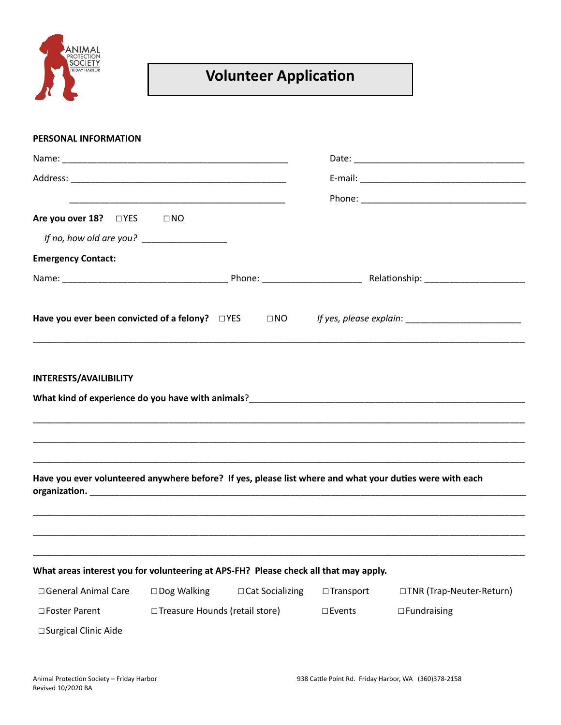

## **Volunteer Application**

| PERSONAL INFORMATION                                                                                     |                   |                  |                           |  |  |
|----------------------------------------------------------------------------------------------------------|-------------------|------------------|---------------------------|--|--|
|                                                                                                          |                   |                  |                           |  |  |
|                                                                                                          |                   |                  |                           |  |  |
|                                                                                                          |                   |                  |                           |  |  |
| Are you over 18? □ YES<br>$\square$ NO                                                                   |                   |                  |                           |  |  |
|                                                                                                          |                   |                  |                           |  |  |
| <b>Emergency Contact:</b>                                                                                |                   |                  |                           |  |  |
|                                                                                                          |                   |                  |                           |  |  |
|                                                                                                          |                   |                  |                           |  |  |
| Have you ever volunteered anywhere before? If yes, please list where and what your duties were with each |                   |                  |                           |  |  |
|                                                                                                          |                   |                  |                           |  |  |
| What areas interest you for volunteering at APS-FH? Please check all that may apply.                     |                   |                  |                           |  |  |
| □ General Animal Care<br>□ Dog Walking                                                                   | □ Cat Socializing | □Transport       | □TNR (Trap-Neuter-Return) |  |  |
| □ Treasure Hounds (retail store)<br>□ Foster Parent                                                      |                   | $\square$ Events | $\Box$ Fundraising        |  |  |
| □ Surgical Clinic Aide                                                                                   |                   |                  |                           |  |  |
|                                                                                                          |                   |                  |                           |  |  |